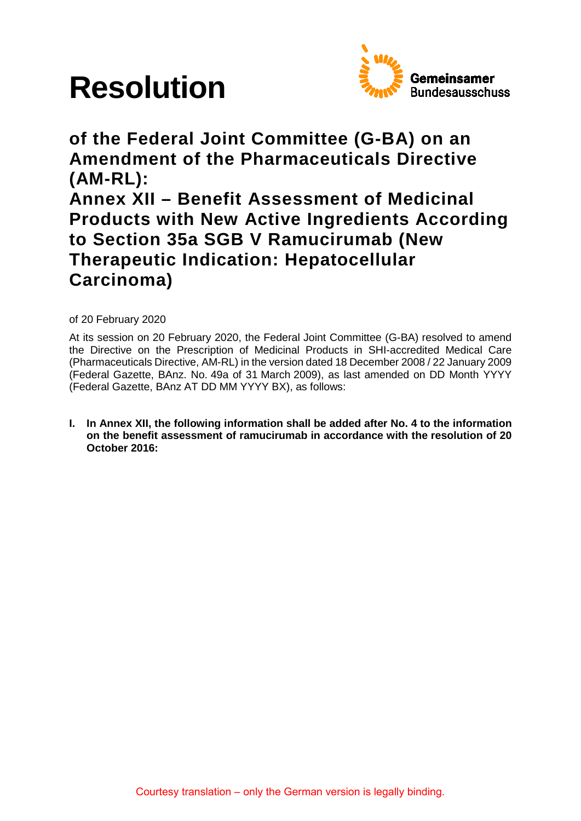



**of the Federal Joint Committee (G-BA) on an Amendment of the Pharmaceuticals Directive (AM-RL): Annex XII – Benefit Assessment of Medicinal Products with New Active Ingredients According to Section 35a SGB V Ramucirumab (New Therapeutic Indication: Hepatocellular Carcinoma)**

of 20 February 2020

At its session on 20 February 2020, the Federal Joint Committee (G-BA) resolved to amend the Directive on the Prescription of Medicinal Products in SHI-accredited Medical Care (Pharmaceuticals Directive, AM-RL) in the version dated 18 December 2008 / 22 January 2009 (Federal Gazette, BAnz. No. 49a of 31 March 2009), as last amended on DD Month YYYY (Federal Gazette, BAnz AT DD MM YYYY BX), as follows:

**I. In Annex XII, the following information shall be added after No. 4 to the information on the benefit assessment of ramucirumab in accordance with the resolution of 20 October 2016:**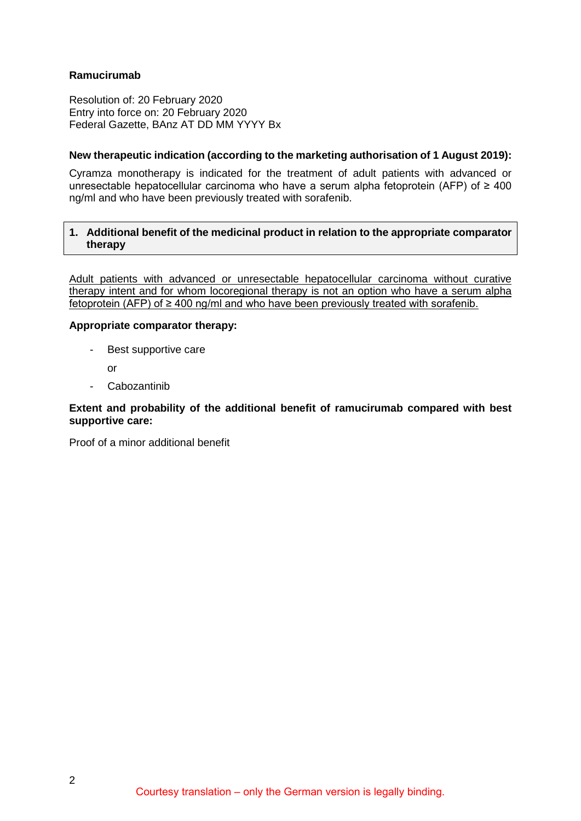### **Ramucirumab**

Resolution of: 20 February 2020 Entry into force on: 20 February 2020 Federal Gazette, BAnz AT DD MM YYYY Bx

### **New therapeutic indication (according to the marketing authorisation of 1 August 2019):**

Cyramza monotherapy is indicated for the treatment of adult patients with advanced or unresectable hepatocellular carcinoma who have a serum alpha fetoprotein (AFP) of  $\geq 400$ ng/ml and who have been previously treated with sorafenib.

### **1. Additional benefit of the medicinal product in relation to the appropriate comparator therapy**

Adult patients with advanced or unresectable hepatocellular carcinoma without curative therapy intent and for whom locoregional therapy is not an option who have a serum alpha fetoprotein (AFP) of ≥ 400 ng/ml and who have been previously treated with sorafenib.

### **Appropriate comparator therapy:**

Best supportive care

or

- Cabozantinib

### **Extent and probability of the additional benefit of ramucirumab compared with best supportive care:**

Proof of a minor additional benefit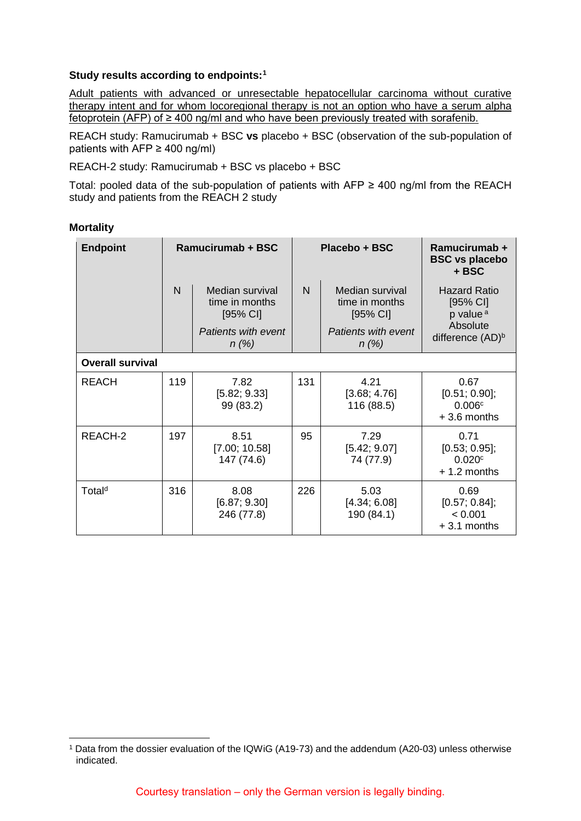### **Study results according to endpoints[:1](#page-2-0)**

Adult patients with advanced or unresectable hepatocellular carcinoma without curative therapy intent and for whom locoregional therapy is not an option who have a serum alpha fetoprotein (AFP) of ≥ 400 ng/ml and who have been previously treated with sorafenib.

REACH study: Ramucirumab + BSC **vs** placebo + BSC (observation of the sub-population of patients with  $AFP \geq 400$  ng/ml)

REACH-2 study: Ramucirumab + BSC vs placebo + BSC

Total: pooled data of the sub-population of patients with AFP  $\geq$  400 ng/ml from the REACH study and patients from the REACH 2 study

### **Mortality**

| <b>Endpoint</b>         | <b>Ramucirumab + BSC</b> |                                                 | Placebo + BSC |                                                 | Ramucirumab +<br><b>BSC vs placebo</b><br>+ BSC           |  |
|-------------------------|--------------------------|-------------------------------------------------|---------------|-------------------------------------------------|-----------------------------------------------------------|--|
|                         | $\mathsf{N}$             | Median survival<br>time in months<br>$[95%$ CI] | N             | Median survival<br>time in months<br>$[95%$ CI] | <b>Hazard Ratio</b><br>$[95%$ CI]<br>p value <sup>a</sup> |  |
|                         |                          | Patients with event<br>n(%)                     |               | Patients with event<br>$n(\%)$                  | Absolute<br>difference (AD) <sup>b</sup>                  |  |
| <b>Overall survival</b> |                          |                                                 |               |                                                 |                                                           |  |
| <b>REACH</b>            | 119                      | 7.82<br>[5.82; 9.33]<br>99 (83.2)               | 131           | 4.21<br>[3.68; 4.76]<br>116 (88.5)              | 0.67<br>[0.51; 0.90];<br>0.006c<br>$+3.6$ months          |  |
| REACH-2                 | 197                      | 8.51<br>[7.00; 10.58]<br>147 (74.6)             | 95            | 7.29<br>[5.42; 9.07]<br>74 (77.9)               | 0.71<br>[0.53; 0.95];<br>0.020c<br>$+1.2$ months          |  |
| Total <sup>d</sup>      | 316                      | 8.08<br>[6.87; 9.30]<br>246 (77.8)              | 226           | 5.03<br>[4.34; 6.08]<br>190 (84.1)              | 0.69<br>$[0.57; 0.84]$ ;<br>< 0.001<br>$+3.1$ months      |  |

Courtesy translation – only the German version is legally binding.

<span id="page-2-0"></span> <sup>1</sup> Data from the dossier evaluation of the IQWiG (A19-73) and the addendum (A20-03) unless otherwise indicated.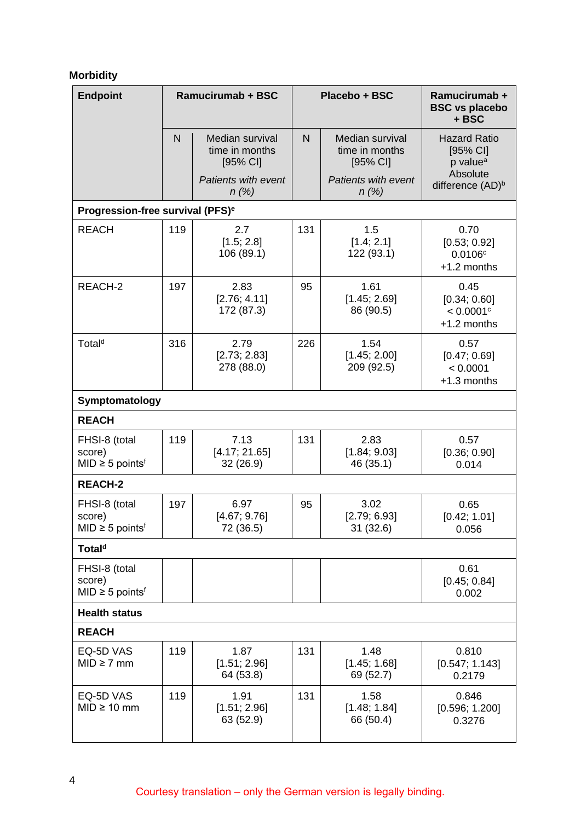# **Morbidity**

| <b>Endpoint</b>                                             |              | <b>Ramucirumab + BSC</b>                      |                                           | Placebo + BSC                                 | Ramucirumab +<br><b>BSC vs placebo</b><br>+ BSC         |
|-------------------------------------------------------------|--------------|-----------------------------------------------|-------------------------------------------|-----------------------------------------------|---------------------------------------------------------|
|                                                             | $\mathsf{N}$ | Median survival<br>time in months<br>[95% CI] | $\mathsf{N}$                              | Median survival<br>time in months<br>[95% CI] | <b>Hazard Ratio</b><br>[95% CI]<br>p value <sup>a</sup> |
|                                                             |              | Patients with event<br>$n(\%)$                |                                           | Patients with event<br>$n(\%)$                | Absolute<br>difference (AD) <sup>b</sup>                |
| Progression-free survival (PFS) <sup>e</sup>                |              |                                               |                                           |                                               |                                                         |
| <b>REACH</b>                                                | 119          | 2.7<br>[1.5; 2.8]<br>106 (89.1)               | 131                                       | 1.5<br>[1.4; 2.1]<br>122 (93.1)               | 0.70<br>[0.53; 0.92]<br>0.0106c<br>+1.2 months          |
| REACH-2                                                     | 197          | 2.83<br>[2.76; 4.11]<br>172 (87.3)            | 1.61<br>95<br>[1.45; 2.69]<br>86 (90.5)   |                                               | 0.45<br>[0.34; 0.60]<br>< 0.0001c<br>+1.2 months        |
| Total <sup>d</sup>                                          | 316          | 2.79<br>[2.73; 2.83]<br>278 (88.0)            | 226<br>1.54<br>[1.45; 2.00]<br>209 (92.5) |                                               | 0.57<br>[0.47; 0.69]<br>< 0.0001<br>+1.3 months         |
| Symptomatology                                              |              |                                               |                                           |                                               |                                                         |
| <b>REACH</b>                                                |              |                                               |                                           |                                               |                                                         |
| FHSI-8 (total<br>score)<br>$MID \geq 5$ points <sup>f</sup> | 119          | 7.13<br>[4.17; 21.65]<br>32 (26.9)            | 131                                       | 2.83<br>[1.84; 9.03]<br>46 (35.1)             | 0.57<br>[0.36; 0.90]<br>0.014                           |
| <b>REACH-2</b>                                              |              |                                               |                                           |                                               |                                                         |
| FHSI-8 (total<br>score)<br>$MID \geq 5$ points <sup>f</sup> | 197          | 6.97<br>[4.67; 9.76]<br>72 (36.5)             | 3.02<br>95<br>[2.79; 6.93]<br>31 (32.6)   |                                               | 0.65<br>[0.42; 1.01]<br>0.056                           |
| <b>Totald</b>                                               |              |                                               |                                           |                                               |                                                         |
| FHSI-8 (total<br>score)<br>$MID \geq 5$ points <sup>f</sup> |              |                                               |                                           |                                               | 0.61<br>[0.45; 0.84]<br>0.002                           |
| <b>Health status</b>                                        |              |                                               |                                           |                                               |                                                         |
| <b>REACH</b>                                                |              |                                               |                                           |                                               |                                                         |
| EQ-5D VAS<br>$MID \geq 7$ mm                                | 119          | 1.87<br>[1.51; 2.96]<br>64 (53.8)             | 131                                       | 1.48<br>[1.45; 1.68]<br>69 (52.7)             | 0.810<br>[0.547; 1.143]<br>0.2179                       |
| EQ-5D VAS<br>$MID \ge 10$ mm                                | 119          | 1.91<br>[1.51; 2.96]<br>63 (52.9)             | 131                                       | 1.58<br>[1.48; 1.84]<br>66 (50.4)             | 0.846<br>[0.596; 1.200]<br>0.3276                       |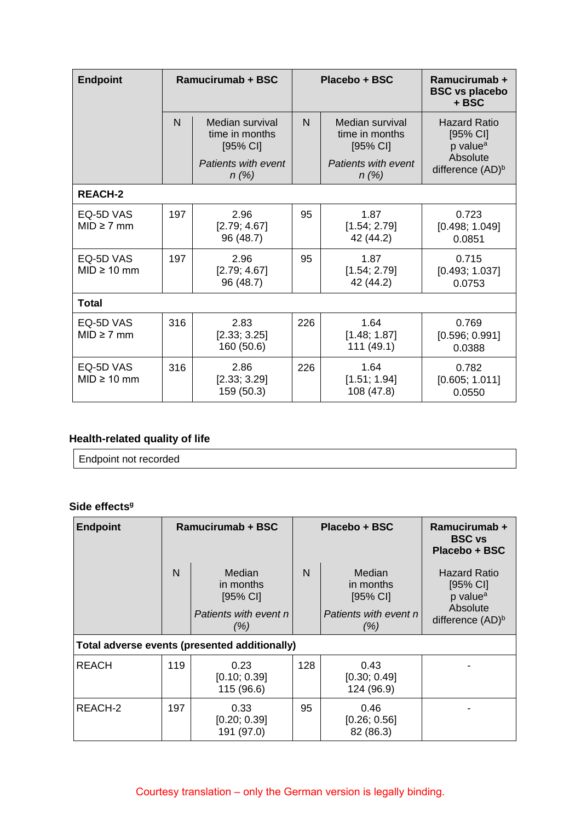| <b>Endpoint</b>               | Ramucirumab + BSC |                                                 | Placebo + BSC               |                                                 | $Ramucirunab +$<br><b>BSC vs placebo</b><br>+ BSC  |
|-------------------------------|-------------------|-------------------------------------------------|-----------------------------|-------------------------------------------------|----------------------------------------------------|
|                               | N                 | Median survival<br>time in months<br>$[95%$ CI] | $\mathsf{N}$                | Median survival<br>time in months<br>$[95%$ CI] | Hazard Ratio<br>$[95%$ CI]<br>p value <sup>a</sup> |
|                               |                   | Patients with event<br>n(%)                     | Patients with event<br>n(%) | Absolute<br>difference (AD) <sup>b</sup>        |                                                    |
| <b>REACH-2</b>                |                   |                                                 |                             |                                                 |                                                    |
| EQ-5D VAS<br>$MID \geq 7$ mm  | 197               | 2.96<br>[2.79; 4.67]<br>96 (48.7)               | 95                          | 1.87<br>[1.54; 2.79]<br>42 (44.2)               | 0.723<br>[0.498; 1.049]<br>0.0851                  |
| EQ-5D VAS<br>$MID \geq 10$ mm | 197               | 2.96<br>[2.79; 4.67]<br>96 (48.7)               | 95                          | 1.87<br>[1.54; 2.79]<br>42 (44.2)               | 0.715<br>[0.493; 1.037]<br>0.0753                  |
| Total                         |                   |                                                 |                             |                                                 |                                                    |
| EQ-5D VAS<br>$MID \geq 7$ mm  | 316               | 2.83<br>[2.33; 3.25]<br>160 (50.6)              | 226                         | 1.64<br>[1.48; 1.87]<br>111(49.1)               | 0.769<br>[0.596; 0.991]<br>0.0388                  |
| EQ-5D VAS<br>$MID \geq 10$ mm | 316               | 2.86<br>[2.33; 3.29]<br>159 (50.3)              | 226                         | 1.64<br>[1.51; 1.94]<br>108 (47.8)              | 0.782<br>[0.605; 1.011]<br>0.0550                  |

# **Health-related quality of life**

Endpoint not recorded

## Side effects<sup>9</sup>

| <b>Endpoint</b> | Ramucirumab + BSC                         |                                                                    | Placebo + BSC                             |                                                                  | Ramucirumab +<br><b>BSC</b> vs<br>Placebo + BSC                                                       |
|-----------------|-------------------------------------------|--------------------------------------------------------------------|-------------------------------------------|------------------------------------------------------------------|-------------------------------------------------------------------------------------------------------|
| N               |                                           | Median<br>in months<br>$[95%$ CI]<br>Patients with event n<br>(% ) | $\mathsf{N}$                              | Median<br>in months<br>[95% CI]<br>Patients with event n<br>(% ) | <b>Hazard Ratio</b><br>$[95%$ CI]<br>p value <sup>a</sup><br>Absolute<br>difference (AD) <sup>b</sup> |
|                 |                                           | Total adverse events (presented additionally)                      |                                           |                                                                  |                                                                                                       |
| <b>REACH</b>    | 119<br>0.23<br>[0.10; 0.39]<br>115 (96.6) |                                                                    | 128<br>0.43<br>[0.30; 0.49]<br>124 (96.9) |                                                                  |                                                                                                       |
| REACH-2         | 197                                       | 0.33<br>[0.20; 0.39]<br>191 (97.0)                                 | 95                                        | 0.46<br>[0.26; 0.56]<br>82 (86.3)                                |                                                                                                       |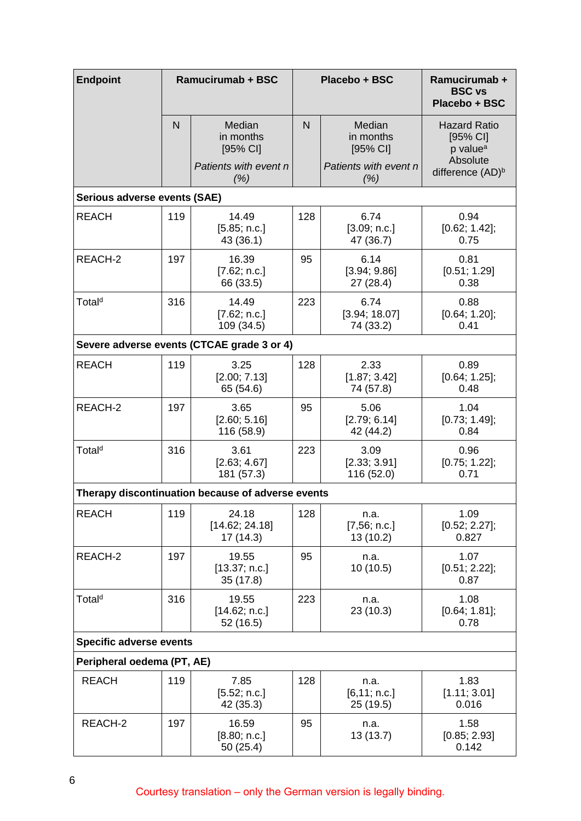| <b>Endpoint</b>                |                                                                        | <b>Ramucirumab + BSC</b>                                                        |                                           | Placebo + BSC                                                      | Ramucirumab +<br><b>BSC vs</b><br>Placebo + BSC                                                     |  |  |
|--------------------------------|------------------------------------------------------------------------|---------------------------------------------------------------------------------|-------------------------------------------|--------------------------------------------------------------------|-----------------------------------------------------------------------------------------------------|--|--|
|                                | $\overline{N}$                                                         | Median<br>in months<br>$[95%$ CI]<br>Patients with event n<br>(% )              | N                                         | Median<br>in months<br>$[95%$ CI]<br>Patients with event n<br>(% ) | <b>Hazard Ratio</b><br>[95% CI]<br>p value <sup>a</sup><br>Absolute<br>difference (AD) <sup>b</sup> |  |  |
| Serious adverse events (SAE)   |                                                                        |                                                                                 |                                           |                                                                    |                                                                                                     |  |  |
| <b>REACH</b>                   | 119                                                                    | 14.49<br>[5.85; n.c.]<br>43 (36.1)                                              | 128                                       | 6.74<br>[3.09; n.c.]<br>47 (36.7)                                  | 0.94<br>[0.62; 1.42];<br>0.75                                                                       |  |  |
| REACH-2                        | 197                                                                    | 16.39<br>[7.62; n.c.]<br>66 (33.5)                                              | 95<br>6.14<br>[3.94; 9.86]<br>27 (28.4)   |                                                                    | 0.81<br>[0.51; 1.29]<br>0.38                                                                        |  |  |
| Total <sup>d</sup>             | 316                                                                    | 14.49<br>[7.62; n.c.]<br>109 (34.5)                                             | 223<br>6.74<br>[3.94; 18.07]<br>74 (33.2) |                                                                    | 0.88<br>$[0.64; 1.20]$ ;<br>0.41                                                                    |  |  |
|                                |                                                                        | Severe adverse events (CTCAE grade 3 or 4)                                      |                                           |                                                                    |                                                                                                     |  |  |
| <b>REACH</b>                   | 119<br>3.25<br>[2.00; 7.13]<br>65 (54.6)                               |                                                                                 | 128                                       | 2.33<br>[1.87; 3.42]<br>74 (57.8)                                  | 0.89<br>$[0.64; 1.25]$ ;<br>0.48                                                                    |  |  |
| REACH-2                        | 197                                                                    | 3.65<br>95<br>5.06<br>[2.60; 5.16]<br>[2.79; 6.14]<br>116 (58.9)<br>42 (44.2)   |                                           | 1.04<br>[0.73; 1.49];<br>0.84                                      |                                                                                                     |  |  |
| Total <sup>d</sup>             | 316                                                                    | 223<br>3.09<br>3.61<br>[2.33; 3.91]<br>[2.63; 4.67]<br>181 (57.3)<br>116 (52.0) |                                           | 0.96<br>$[0.75; 1.22]$ ;<br>0.71                                   |                                                                                                     |  |  |
|                                |                                                                        | Therapy discontinuation because of adverse events                               |                                           |                                                                    |                                                                                                     |  |  |
| <b>REACH</b>                   | 119                                                                    | 24.18<br>[14.62; 24.18]<br>17(14.3)                                             | 128                                       | n.a.<br>[7,56; n.c.]<br>13 (10.2)                                  | 1.09<br>[0.52; 2.27];<br>0.827                                                                      |  |  |
| REACH-2                        | 197                                                                    | 19.55<br>[13.37; n.c.]<br>35(17.8)                                              | 95                                        | n.a.<br>10(10.5)                                                   | 1.07<br>$[0.51; 2.22]$ ;<br>0.87                                                                    |  |  |
| Total <sup>d</sup>             | 316<br>19.55<br>223<br>n.a.<br>23 (10.3)<br>[14.62; n.c.]<br>52 (16.5) |                                                                                 |                                           | 1.08<br>[0.64; 1.81];<br>0.78                                      |                                                                                                     |  |  |
| <b>Specific adverse events</b> |                                                                        |                                                                                 |                                           |                                                                    |                                                                                                     |  |  |
| Peripheral oedema (PT, AE)     |                                                                        |                                                                                 |                                           |                                                                    |                                                                                                     |  |  |
| <b>REACH</b>                   | 119                                                                    | 7.85<br>[5.52; n.c.]<br>42 (35.3)                                               | 128                                       | n.a.<br>[6, 11; n.c.]<br>25 (19.5)                                 | 1.83<br>[1.11; 3.01]<br>0.016                                                                       |  |  |
| REACH-2                        | 197                                                                    | 16.59<br>[8.80; n.c.]<br>50(25.4)                                               | 95                                        | n.a.<br>13(13.7)                                                   | 1.58<br>[0.85; 2.93]<br>0.142                                                                       |  |  |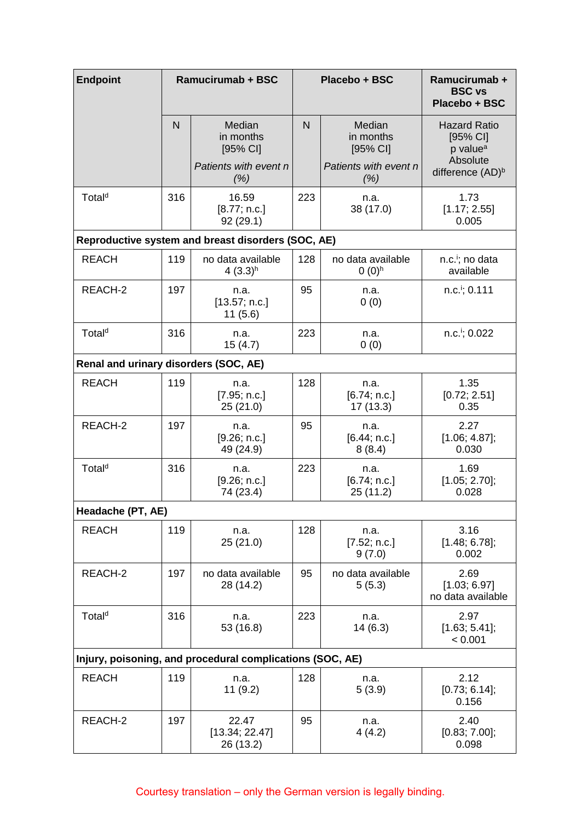| <b>Endpoint</b>                       |                                                                                           | <b>Ramucirumab + BSC</b>                                      |                                          | Placebo + BSC                                              | Ramucirumab +<br><b>BSC vs</b><br>Placebo + BSC                     |  |
|---------------------------------------|-------------------------------------------------------------------------------------------|---------------------------------------------------------------|------------------------------------------|------------------------------------------------------------|---------------------------------------------------------------------|--|
|                                       | $\overline{N}$                                                                            | Median<br>in months<br>$[95%$ CI]<br>Patients with event n    | $\mathsf{N}$                             | Median<br>in months<br>$[95%$ CI]<br>Patients with event n | <b>Hazard Ratio</b><br>[95% CI]<br>p value <sup>a</sup><br>Absolute |  |
|                                       |                                                                                           | (% )                                                          |                                          | (% )                                                       | difference (AD) <sup>b</sup>                                        |  |
| Total <sup>d</sup>                    | 316                                                                                       | 16.59<br>223<br>n.a.<br>[8.77; n.c.]<br>38 (17.0)<br>92(29.1) |                                          | 1.73<br>[1.17; 2.55]<br>0.005                              |                                                                     |  |
|                                       |                                                                                           | Reproductive system and breast disorders (SOC, AE)            |                                          |                                                            |                                                                     |  |
| <b>REACH</b>                          | 119<br>no data available<br>128<br>no data available<br>$4(3.3)$ <sup>h</sup><br>$0(0)^h$ |                                                               | n.c. <sup>i</sup> ; no data<br>available |                                                            |                                                                     |  |
| REACH-2                               | 197                                                                                       | 95<br>n.a.<br>n.a.<br>[13.57; n.c.]<br>0(0)<br>11(5.6)        |                                          | n.c. <sup>i</sup> ; 0.111                                  |                                                                     |  |
| Total <sup>d</sup>                    | 316                                                                                       | n.a.<br>15(4.7)                                               | 223<br>n.a.<br>0(0)                      |                                                            | n.c. <sup>i</sup> ; 0.022                                           |  |
| Renal and urinary disorders (SOC, AE) |                                                                                           |                                                               |                                          |                                                            |                                                                     |  |
| <b>REACH</b>                          | 119<br>n.a.<br>[7.95; n.c.]<br>25(21.0)                                                   |                                                               | 128                                      | n.a.<br>[6.74; n.c.]<br>17 (13.3)                          | 1.35<br>[0.72; 2.51]<br>0.35                                        |  |
| REACH-2                               | 197<br>95<br>n.a.<br>[9.26; n.c.]<br>49 (24.9)                                            |                                                               | n.a.<br>[6.44; n.c.]<br>8(8.4)           | 2.27<br>[1.06; 4.87];<br>0.030                             |                                                                     |  |
| Total <sup>d</sup>                    | 316                                                                                       | n.a.<br>[9.26; n.c.]<br>74 (23.4)                             | 223<br>n.a.<br>[6.74; n.c.]<br>25(11.2)  |                                                            | 1.69<br>[1.05; 2.70];<br>0.028                                      |  |
| Headache (PT, AE)                     |                                                                                           |                                                               |                                          |                                                            |                                                                     |  |
| <b>REACH</b>                          | 119                                                                                       | n.a.<br>25(21.0)                                              | 128                                      | n.a.<br>[7.52; n.c.]<br>9(7.0)                             | 3.16<br>[1.48; 6.78];<br>0.002                                      |  |
| REACH-2                               | 197                                                                                       | no data available<br>28 (14.2)                                | 95                                       | no data available<br>5(5.3)                                | 2.69<br>[1.03; 6.97]<br>no data available                           |  |
| Total <sup>d</sup>                    | 316                                                                                       | n.a.<br>53 (16.8)                                             | 223<br>n.a.<br>14(6.3)                   |                                                            | 2.97<br>[1.63; 5.41];<br>< 0.001                                    |  |
|                                       |                                                                                           | Injury, poisoning, and procedural complications (SOC, AE)     |                                          |                                                            |                                                                     |  |
| <b>REACH</b>                          | 119                                                                                       | n.a.<br>11(9.2)                                               | 128                                      | n.a.<br>5(3.9)                                             | 2.12<br>$[0.73; 6.14]$ ;<br>0.156                                   |  |
| REACH-2                               | 197                                                                                       | 22.47<br>[13.34; 22.47]<br>26 (13.2)                          | 95                                       | n.a.<br>4(4.2)                                             | 2.40<br>[0.83; 7.00];<br>0.098                                      |  |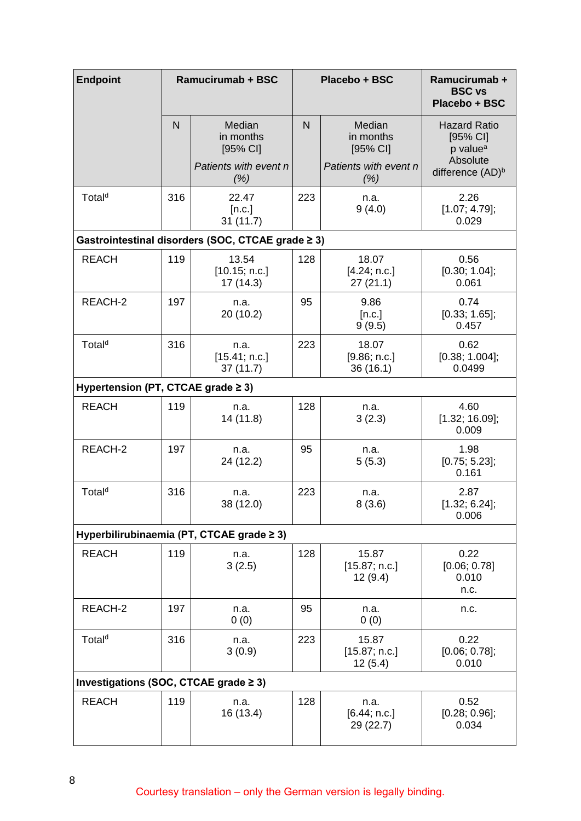| <b>Endpoint</b>                         |                                 | <b>Ramucirumab + BSC</b>                                                      |                      | Placebo + BSC                     | Ramucirumab +<br><b>BSC vs</b><br>Placebo + BSC         |  |
|-----------------------------------------|---------------------------------|-------------------------------------------------------------------------------|----------------------|-----------------------------------|---------------------------------------------------------|--|
|                                         | $\overline{N}$                  | Median<br>in months<br>[95% CI]                                               | $\mathsf{N}$         | Median<br>in months<br>[95% CI]   | <b>Hazard Ratio</b><br>[95% CI]<br>p value <sup>a</sup> |  |
|                                         |                                 | Patients with event n<br>(% )                                                 |                      | Patients with event n<br>(% )     | Absolute<br>difference (AD) <sup>b</sup>                |  |
| Total <sup>d</sup>                      | 316                             | 22.47<br>[n.c.]<br>31(11.7)                                                   | 223                  | n.a.<br>9(4.0)                    | 2.26<br>[1.07; 4.79];<br>0.029                          |  |
|                                         |                                 | Gastrointestinal disorders (SOC, CTCAE grade ≥ 3)                             |                      |                                   |                                                         |  |
| <b>REACH</b>                            | 119                             | 13.54<br>[10.15; n.c.]<br>17 (14.3)                                           | 128                  | 18.07<br>[4.24; n.c.]<br>27(21.1) | 0.56<br>$[0.30; 1.04]$ ;<br>0.061                       |  |
| REACH-2                                 | 197                             | n.a.<br>20(10.2)                                                              | 95                   | 9.86<br>[n.c.]<br>9(9.5)          | 0.74<br>$[0.33; 1.65]$ ;<br>0.457                       |  |
| Total <sup>d</sup>                      | 316                             | 223<br>18.07<br>n.a.<br>[15.41; n.c.]<br>[9.86; n.c.]<br>36(16.1)<br>37(11.7) |                      |                                   | 0.62<br>[0.38; 1.004];<br>0.0499                        |  |
| Hypertension (PT, CTCAE grade $\geq$ 3) |                                 |                                                                               |                      |                                   |                                                         |  |
| <b>REACH</b>                            | 119<br>128<br>n.a.<br>14 (11.8) |                                                                               |                      | n.a.<br>3(2.3)                    | 4.60<br>[1.32; 16.09];<br>0.009                         |  |
| REACH-2                                 | 197                             | n.a.<br>24 (12.2)                                                             | 95<br>n.a.<br>5(5.3) |                                   | 1.98<br>$[0.75; 5.23]$ ;<br>0.161                       |  |
| Total <sup>d</sup>                      | 316                             | n.a.<br>38 (12.0)                                                             | 223                  | n.a.<br>8(3.6)                    | 2.87<br>$[1.32; 6.24]$ ;<br>0.006                       |  |
|                                         |                                 | Hyperbilirubinaemia (PT, CTCAE grade ≥ 3)                                     |                      |                                   |                                                         |  |
| <b>REACH</b>                            | 119                             | n.a.<br>3(2.5)                                                                | 128                  | 15.87<br>[15.87; n.c.]<br>12(9.4) | 0.22<br>[0.06; 0.78]<br>0.010<br>n.c.                   |  |
| REACH-2                                 | 197                             | n.a.<br>0(0)                                                                  | 95                   | n.a.<br>0(0)                      | n.c.                                                    |  |
| Total <sup>d</sup>                      | 316                             | n.a.<br>3(0.9)                                                                | 223                  | 15.87<br>[15.87; n.c.]<br>12(5.4) | 0.22<br>$[0.06; 0.78]$ ;<br>0.010                       |  |
| Investigations (SOC, CTCAE grade ≥ 3)   |                                 |                                                                               |                      |                                   |                                                         |  |
| <b>REACH</b>                            | 119                             | n.a.<br>16 (13.4)                                                             | 128                  | n.a.<br>[6.44; n.c.]<br>29 (22.7) | 0.52<br>[0.28; 0.96];<br>0.034                          |  |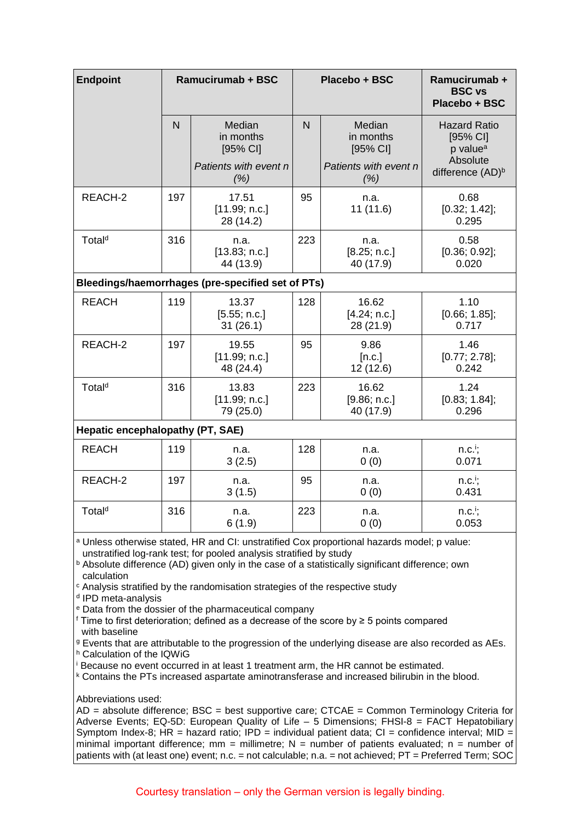| <b>Endpoint</b>                                                                                                                                                                                                                                                                                                                                                                                                                                                                                                                                                                                                                  |                                                   | Ramucirumab + BSC                   |                                    | Placebo + BSC                      | Ramucirumab +<br><b>BSC vs</b><br>Placebo + BSC         |  |
|----------------------------------------------------------------------------------------------------------------------------------------------------------------------------------------------------------------------------------------------------------------------------------------------------------------------------------------------------------------------------------------------------------------------------------------------------------------------------------------------------------------------------------------------------------------------------------------------------------------------------------|---------------------------------------------------|-------------------------------------|------------------------------------|------------------------------------|---------------------------------------------------------|--|
|                                                                                                                                                                                                                                                                                                                                                                                                                                                                                                                                                                                                                                  | $\mathsf{N}$                                      | Median<br>in months<br>$[95%$ CI]   | $\mathsf{N}$                       | Median<br>in months<br>$[95%$ CI]  | <b>Hazard Ratio</b><br>[95% CI]<br>p value <sup>a</sup> |  |
|                                                                                                                                                                                                                                                                                                                                                                                                                                                                                                                                                                                                                                  |                                                   | Patients with event n<br>(% )       |                                    | Patients with event n<br>(% )      | Absolute<br>difference (AD) <sup>b</sup>                |  |
| REACH-2                                                                                                                                                                                                                                                                                                                                                                                                                                                                                                                                                                                                                          | 197                                               | 17.51<br>[11.99; n.c.]<br>28 (14.2) | 95                                 | n.a.<br>11 (11.6)                  | 0.68<br>[0.32; 1.42];<br>0.295                          |  |
| Total <sup>d</sup>                                                                                                                                                                                                                                                                                                                                                                                                                                                                                                                                                                                                               | 316                                               | n.a.<br>[13.83; n.c.]<br>44 (13.9)  | 223                                | n.a.<br>[8.25; n.c.]<br>40 (17.9)  | 0.58<br>[0.36; 0.92];<br>0.020                          |  |
| Bleedings/haemorrhages (pre-specified set of PTs)                                                                                                                                                                                                                                                                                                                                                                                                                                                                                                                                                                                |                                                   |                                     |                                    |                                    |                                                         |  |
| <b>REACH</b>                                                                                                                                                                                                                                                                                                                                                                                                                                                                                                                                                                                                                     | 119                                               | 13.37<br>[5.55; n.c.]<br>31(26.1)   | 128                                | 16.62<br>[4.24; n.c.]<br>28 (21.9) | 1.10<br>[0.66; 1.85];<br>0.717                          |  |
| REACH-2                                                                                                                                                                                                                                                                                                                                                                                                                                                                                                                                                                                                                          | 197                                               | 19.55<br>[11.99; n.c.]<br>48 (24.4) | 95                                 | 9.86<br>[n.c.]<br>12 (12.6)        | 1.46<br>$[0.77; 2.78]$ ;<br>0.242                       |  |
| Total <sup>d</sup>                                                                                                                                                                                                                                                                                                                                                                                                                                                                                                                                                                                                               | 316<br>13.83<br>223<br>[11.99; n.c.]<br>79 (25.0) |                                     | 16.62<br>[9.86; n.c.]<br>40 (17.9) | 1.24<br>$[0.83; 1.84]$ ;<br>0.296  |                                                         |  |
| Hepatic encephalopathy (PT, SAE)                                                                                                                                                                                                                                                                                                                                                                                                                                                                                                                                                                                                 |                                                   |                                     |                                    |                                    |                                                         |  |
| <b>REACH</b>                                                                                                                                                                                                                                                                                                                                                                                                                                                                                                                                                                                                                     | 119                                               | n.a.<br>3(2.5)                      | 128                                | n.a.<br>0(0)                       | $n.c.$ <sup>i</sup> ;<br>0.071                          |  |
| REACH-2                                                                                                                                                                                                                                                                                                                                                                                                                                                                                                                                                                                                                          | 197                                               | n.a.<br>3(1.5)                      | 95                                 | n.a.<br>0(0)                       | n.c.<br>0.431                                           |  |
| Total <sup>d</sup>                                                                                                                                                                                                                                                                                                                                                                                                                                                                                                                                                                                                               | 316                                               | n.a.<br>6(1.9)                      | 223                                | n.a.<br>0(0)                       | $n.c.'$ ;<br>0.053                                      |  |
| <sup>a</sup> Unless otherwise stated, HR and CI: unstratified Cox proportional hazards model; p value:<br>unstratified log-rank test; for pooled analysis stratified by study<br>b Absolute difference (AD) given only in the case of a statistically significant difference; own<br>calculation<br><sup>c</sup> Analysis stratified by the randomisation strategies of the respective study<br><sup>d</sup> IPD meta-analysis<br><sup>e</sup> Data from the dossier of the pharmaceutical company<br>$\frac{1}{2}$ Time to first deterioration; defined as a decrease of the score by $\geq$ 5 points compared<br>with baseline |                                                   |                                     |                                    |                                    |                                                         |  |

<sup>g</sup> Events that are attributable to the progression of the underlying disease are also recorded as AEs.

h Calculation of the IQWiG

<sup>i</sup> Because no event occurred in at least 1 treatment arm, the HR cannot be estimated.

<sup>k</sup> Contains the PTs increased aspartate aminotransferase and increased bilirubin in the blood.

Abbreviations used:

AD = absolute difference; BSC = best supportive care; CTCAE = Common Terminology Criteria for Adverse Events; EQ-5D: European Quality of Life – 5 Dimensions; FHSI-8 = FACT Hepatobiliary Symptom Index-8; HR = hazard ratio; IPD = individual patient data; CI = confidence interval; MID = minimal important difference; mm = millimetre;  $N =$  number of patients evaluated; n = number of patients with (at least one) event; n.c. = not calculable; n.a. = not achieved; PT = Preferred Term; SOC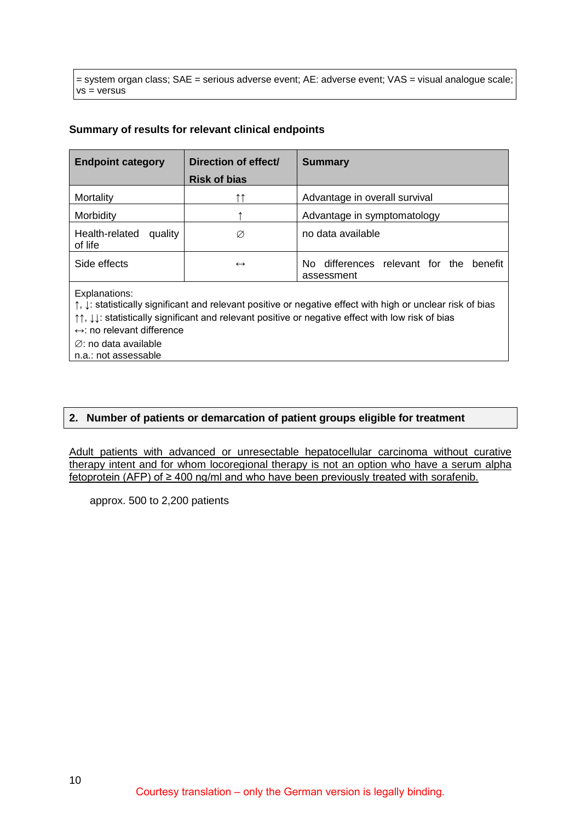= system organ class; SAE = serious adverse event; AE: adverse event; VAS = visual analogue scale; vs = versus

### **Summary of results for relevant clinical endpoints**

| <b>Endpoint category</b>             | Direction of effect/ | <b>Summary</b>                                               |  |  |
|--------------------------------------|----------------------|--------------------------------------------------------------|--|--|
|                                      | <b>Risk of bias</b>  |                                                              |  |  |
| Mortality                            | ተ ተ                  | Advantage in overall survival                                |  |  |
| Morbidity                            |                      | Advantage in symptomatology                                  |  |  |
| Health-related<br>quality<br>of life | Ø                    | no data available                                            |  |  |
| Side effects                         | $\leftrightarrow$    | differences relevant for the<br>No.<br>benefit<br>assessment |  |  |
|                                      |                      |                                                              |  |  |

Explanations:

↑, ↓: statistically significant and relevant positive or negative effect with high or unclear risk of bias

↑↑, ↓↓: statistically significant and relevant positive or negative effect with low risk of bias

↔: no relevant difference

∅: no data available

n.a.: not assessable

### **2. Number of patients or demarcation of patient groups eligible for treatment**

Adult patients with advanced or unresectable hepatocellular carcinoma without curative therapy intent and for whom locoregional therapy is not an option who have a serum alpha fetoprotein (AFP) of ≥ 400 ng/ml and who have been previously treated with sorafenib.

approx. 500 to 2,200 patients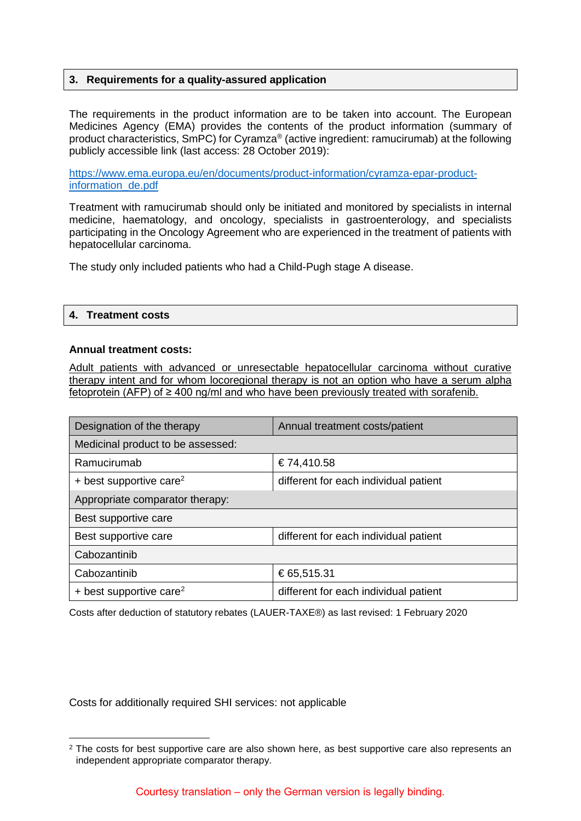### **3. Requirements for a quality-assured application**

The requirements in the product information are to be taken into account. The European Medicines Agency (EMA) provides the contents of the product information (summary of product characteristics, SmPC) for Cyramza® (active ingredient: ramucirumab) at the following publicly accessible link (last access: 28 October 2019):

[https://www.ema.europa.eu/en/documents/product-information/cyramza-epar-product](https://www.ema.europa.eu/en/documents/product-information/cyramza-epar-product-information_de.pdf)[information\\_de.pdf](https://www.ema.europa.eu/en/documents/product-information/cyramza-epar-product-information_de.pdf)

Treatment with ramucirumab should only be initiated and monitored by specialists in internal medicine, haematology, and oncology, specialists in gastroenterology, and specialists participating in the Oncology Agreement who are experienced in the treatment of patients with hepatocellular carcinoma.

The study only included patients who had a Child-Pugh stage A disease.

### **4. Treatment costs**

#### **Annual treatment costs:**

Adult patients with advanced or unresectable hepatocellular carcinoma without curative therapy intent and for whom locoregional therapy is not an option who have a serum alpha fetoprotein (AFP) of ≥ 400 ng/ml and who have been previously treated with sorafenib.

| Designation of the therapy          | Annual treatment costs/patient        |  |  |  |  |
|-------------------------------------|---------------------------------------|--|--|--|--|
| Medicinal product to be assessed:   |                                       |  |  |  |  |
| Ramucirumab                         | €74,410.58                            |  |  |  |  |
| + best supportive care <sup>2</sup> | different for each individual patient |  |  |  |  |
| Appropriate comparator therapy:     |                                       |  |  |  |  |
| Best supportive care                |                                       |  |  |  |  |
| Best supportive care                | different for each individual patient |  |  |  |  |
| Cabozantinib                        |                                       |  |  |  |  |
| Cabozantinib                        | €65,515.31                            |  |  |  |  |
| + best supportive care <sup>2</sup> | different for each individual patient |  |  |  |  |

Costs after deduction of statutory rebates (LAUER-TAXE®) as last revised: 1 February 2020

Costs for additionally required SHI services: not applicable

<span id="page-10-0"></span><sup>&</sup>lt;sup>2</sup> The costs for best supportive care are also shown here, as best supportive care also represents an independent appropriate comparator therapy.